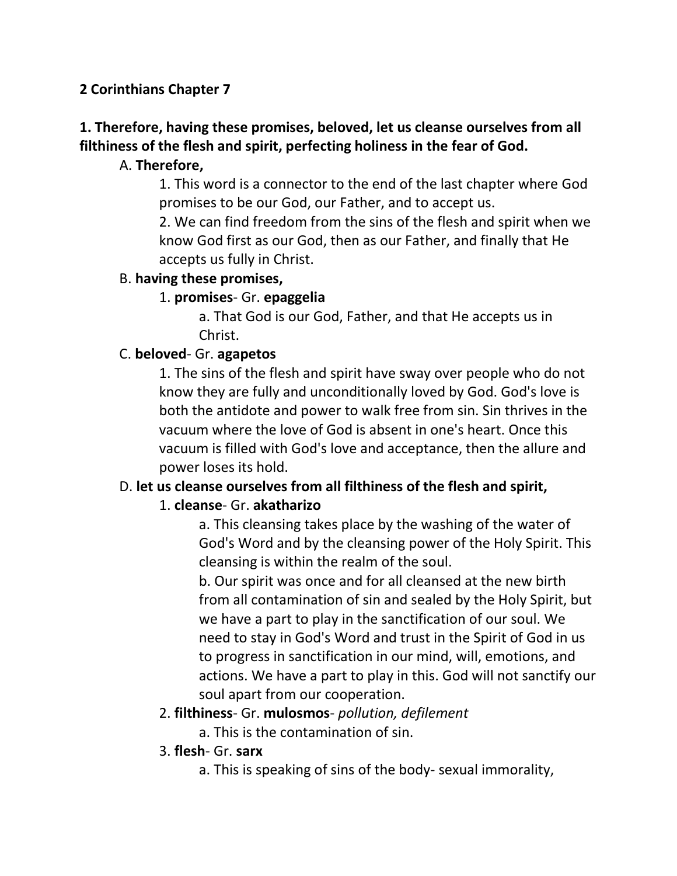### **2 Corinthians Chapter 7**

# **1. Therefore, having these promises, beloved, let us cleanse ourselves from all filthiness of the flesh and spirit, perfecting holiness in the fear of God.**

#### A. **Therefore,**

1. This word is a connector to the end of the last chapter where God promises to be our God, our Father, and to accept us.

2. We can find freedom from the sins of the flesh and spirit when we know God first as our God, then as our Father, and finally that He accepts us fully in Christ.

#### B. **having these promises,**

#### 1. **promises**- Gr. **epaggelia**

a. That God is our God, Father, and that He accepts us in Christ.

#### C. **beloved**- Gr. **agapetos**

1. The sins of the flesh and spirit have sway over people who do not know they are fully and unconditionally loved by God. God's love is both the antidote and power to walk free from sin. Sin thrives in the vacuum where the love of God is absent in one's heart. Once this vacuum is filled with God's love and acceptance, then the allure and power loses its hold.

# D. **let us cleanse ourselves from all filthiness of the flesh and spirit,**

#### 1. **cleanse**- Gr. **akatharizo**

a. This cleansing takes place by the washing of the water of God's Word and by the cleansing power of the Holy Spirit. This cleansing is within the realm of the soul.

b. Our spirit was once and for all cleansed at the new birth from all contamination of sin and sealed by the Holy Spirit, but we have a part to play in the sanctification of our soul. We need to stay in God's Word and trust in the Spirit of God in us to progress in sanctification in our mind, will, emotions, and actions. We have a part to play in this. God will not sanctify our soul apart from our cooperation.

#### 2. **filthiness**- Gr. **mulosmos**- *pollution, defilement*

a. This is the contamination of sin.

#### 3. **flesh**- Gr. **sarx**

a. This is speaking of sins of the body- sexual immorality,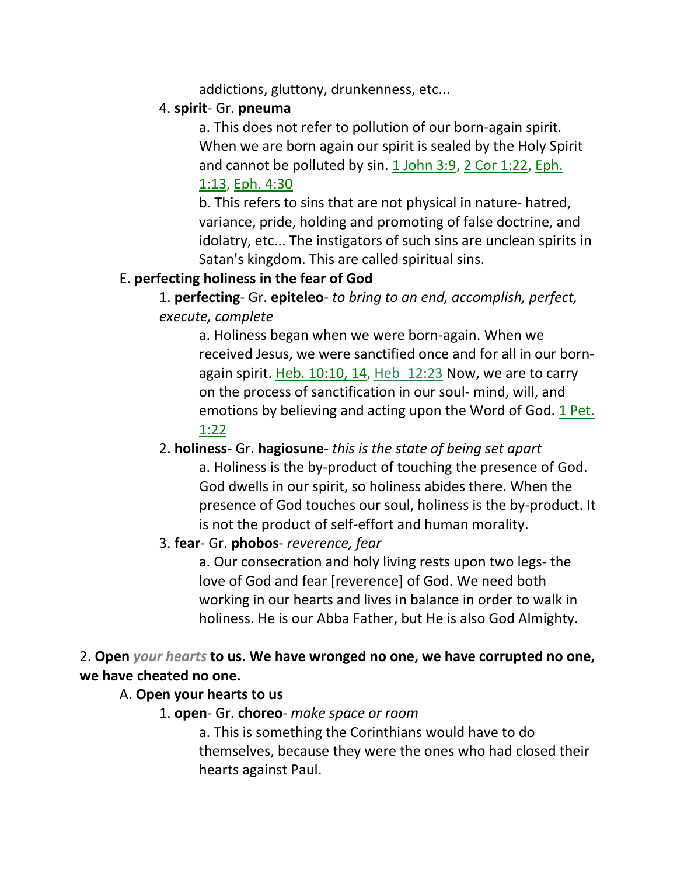addictions, gluttony, drunkenness, etc...

### 4. **spirit**- Gr. **pneuma**

a. This does not refer to pollution of our born-again spirit. When we are born again our spirit is sealed by the Holy Spirit and cannot be polluted by sin. 1 John 3:9, 2 Cor 1:22, Eph. 1:13, Eph. 4:30

b. This refers to sins that are not physical in nature- hatred, variance, pride, holding and promoting of false doctrine, and idolatry, etc... The instigators of such sins are unclean spirits in Satan's kingdom. This are called spiritual sins.

#### E. **perfecting holiness in the fear of God**

1. **perfecting**- Gr. **epiteleo**- *to bring to an end, accomplish, perfect, execute, complete*

a. Holiness began when we were born-again. When we received Jesus, we were sanctified once and for all in our bornagain spirit. Heb. 10:10, 14, Heb 12:23 Now, we are to carry on the process of sanctification in our soul- mind, will, and emotions by believing and acting upon the Word of God. 1 Pet. 1:22

2. **holiness**- Gr. **hagiosune**- *this is the state of being set apart* a. Holiness is the by-product of touching the presence of God. God dwells in our spirit, so holiness abides there. When the presence of God touches our soul, holiness is the by-product. It is not the product of self-effort and human morality.

# 3. **fear**- Gr. **phobos**- *reverence, fear*

a. Our consecration and holy living rests upon two legs- the love of God and fear [reverence] of God. We need both working in our hearts and lives in balance in order to walk in holiness. He is our Abba Father, but He is also God Almighty.

# 2. **Open** *your hearts* **to us. We have wronged no one, we have corrupted no one, we have cheated no one.**

# A. **Open your hearts to us**

1. **open**- Gr. **choreo**- *make space or room*

a. This is something the Corinthians would have to do themselves, because they were the ones who had closed their hearts against Paul.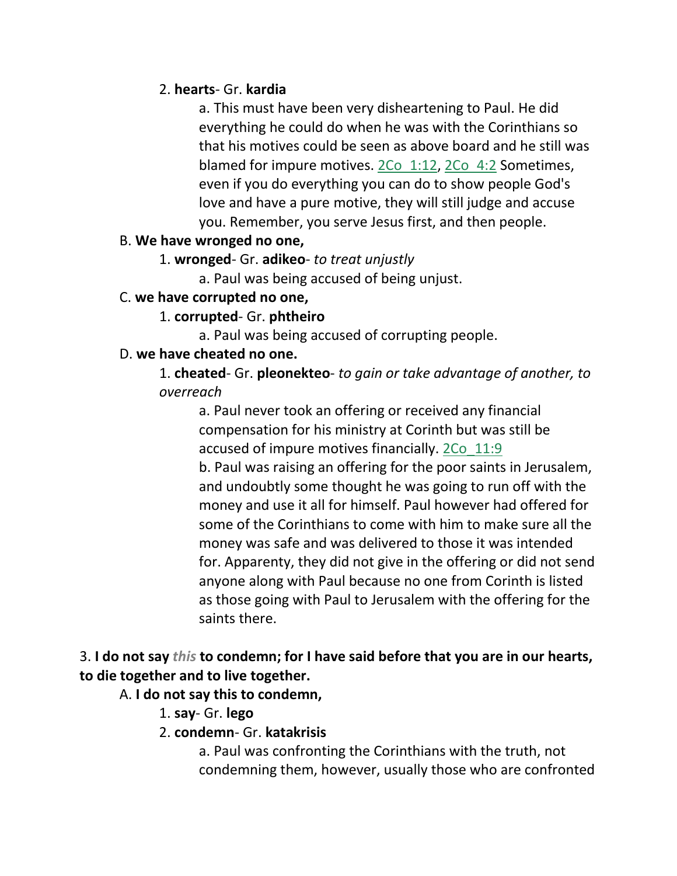#### 2. **hearts**- Gr. **kardia**

a. This must have been very disheartening to Paul. He did everything he could do when he was with the Corinthians so that his motives could be seen as above board and he still was blamed for impure motives. 2Co 1:12, 2Co 4:2 Sometimes, even if you do everything you can do to show people God's love and have a pure motive, they will still judge and accuse you. Remember, you serve Jesus first, and then people.

#### B. **We have wronged no one,**

1. **wronged**- Gr. **adikeo**- *to treat unjustly*

a. Paul was being accused of being unjust.

# C. **we have corrupted no one,**

# 1. **corrupted**- Gr. **phtheiro**

a. Paul was being accused of corrupting people.

# D. **we have cheated no one.**

1. **cheated**- Gr. **pleonekteo**- *to gain or take advantage of another, to overreach*

a. Paul never took an offering or received any financial compensation for his ministry at Corinth but was still be accused of impure motives financially. 2Co\_11:9 b. Paul was raising an offering for the poor saints in Jerusalem, and undoubtly some thought he was going to run off with the money and use it all for himself. Paul however had offered for some of the Corinthians to come with him to make sure all the money was safe and was delivered to those it was intended for. Apparenty, they did not give in the offering or did not send anyone along with Paul because no one from Corinth is listed as those going with Paul to Jerusalem with the offering for the saints there.

# 3. **I do not say** *this* **to condemn; for I have said before that you are in our hearts, to die together and to live together.**

# A. **I do not say this to condemn,**

- 1. **say** Gr. **lego**
- 2. **condemn** Gr. **katakrisis**

a. Paul was confronting the Corinthians with the truth, not condemning them, however, usually those who are confronted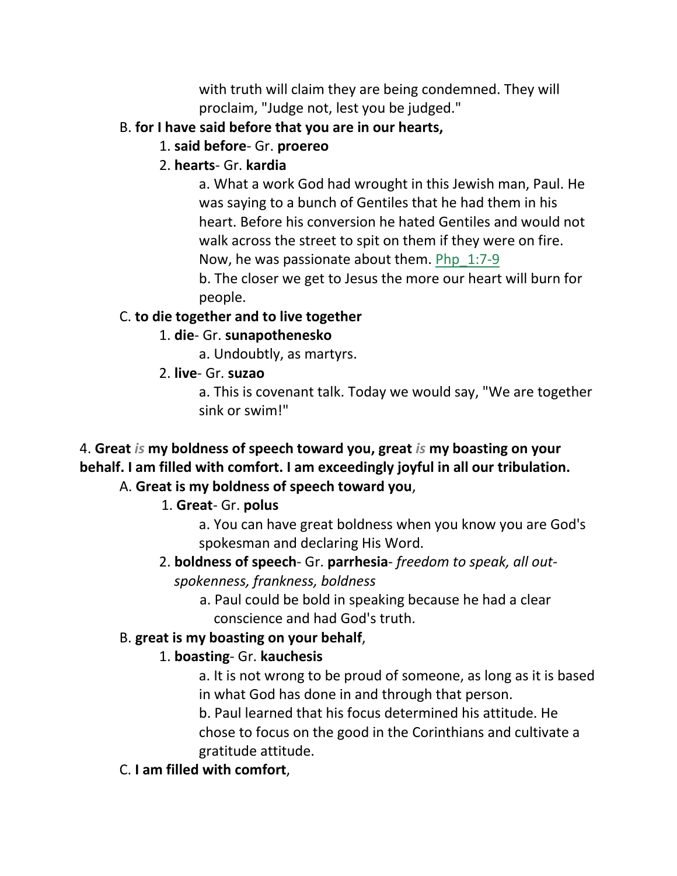with truth will claim they are being condemned. They will proclaim, "Judge not, lest you be judged."

# B. **for I have said before that you are in our hearts,**

1. **said before**- Gr. **proereo**

# 2. **hearts**- Gr. **kardia**

a. What a work God had wrought in this Jewish man, Paul. He was saying to a bunch of Gentiles that he had them in his heart. Before his conversion he hated Gentiles and would not walk across the street to spit on them if they were on fire. Now, he was passionate about them. Php\_1:7-9

b. The closer we get to Jesus the more our heart will burn for people.

# C. **to die together and to live together**

# 1. **die**- Gr. **sunapothenesko**

a. Undoubtly, as martyrs.

2. **live**- Gr. **suzao**

a. This is covenant talk. Today we would say, "We are together sink or swim!"

# 4. **Great** *is* **my boldness of speech toward you, great** *is* **my boasting on your behalf. I am filled with comfort. I am exceedingly joyful in all our tribulation.**

# A. **Great is my boldness of speech toward you**,

# 1. **Great**- Gr. **polus**

a. You can have great boldness when you know you are God's spokesman and declaring His Word.

# 2. **boldness of speech**- Gr. **parrhesia**- *freedom to speak, all outspokenness, frankness, boldness*

 a. Paul could be bold in speaking because he had a clear conscience and had God's truth.

# B. **great is my boasting on your behalf**,

# 1. **boasting**- Gr. **kauchesis**

a. It is not wrong to be proud of someone, as long as it is based in what God has done in and through that person.

b. Paul learned that his focus determined his attitude. He chose to focus on the good in the Corinthians and cultivate a gratitude attitude.

# C. **I am filled with comfort**,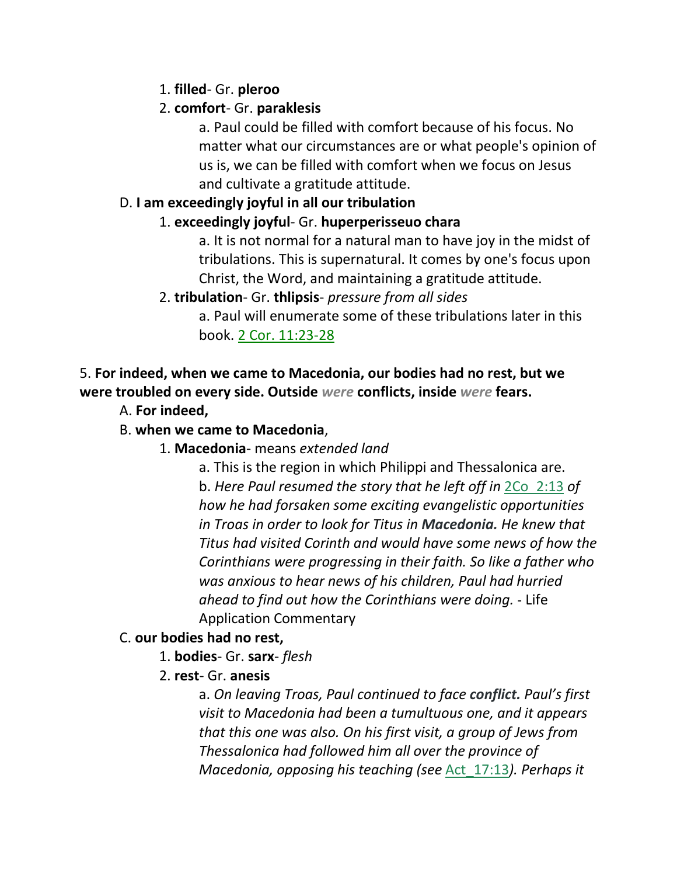# 1. **filled**- Gr. **pleroo**

# 2. **comfort**- Gr. **paraklesis**

a. Paul could be filled with comfort because of his focus. No matter what our circumstances are or what people's opinion of us is, we can be filled with comfort when we focus on Jesus and cultivate a gratitude attitude.

#### D. **I am exceedingly joyful in all our tribulation**

#### 1. **exceedingly joyful**- Gr. **huperperisseuo chara**

a. It is not normal for a natural man to have joy in the midst of tribulations. This is supernatural. It comes by one's focus upon Christ, the Word, and maintaining a gratitude attitude.

#### 2. **tribulation**- Gr. **thlipsis**- *pressure from all sides*

a. Paul will enumerate some of these tribulations later in this book. 2 Cor. 11:23-28

# 5. **For indeed, when we came to Macedonia, our bodies had no rest, but we were troubled on every side. Outside** *were* **conflicts, inside** *were* **fears.**

A. **For indeed,**

### B. **when we came to Macedonia**,

#### 1. **Macedonia**- means *extended land*

a. This is the region in which Philippi and Thessalonica are. b. *Here Paul resumed the story that he left off in* 2Co\_2:13 *of how he had forsaken some exciting evangelistic opportunities in Troas in order to look for Titus in Macedonia. He knew that Titus had visited Corinth and would have some news of how the Corinthians were progressing in their faith. So like a father who was anxious to hear news of his children, Paul had hurried ahead to find out how the Corinthians were doing.* - Life Application Commentary

#### C. **our bodies had no rest,**

- 1. **bodies** Gr. **sarx** *flesh*
- 2. **rest** Gr. **anesis**

a. *On leaving Troas, Paul continued to face conflict. Paul's first visit to Macedonia had been a tumultuous one, and it appears that this one was also. On his first visit, a group of Jews from Thessalonica had followed him all over the province of Macedonia, opposing his teaching (see* Act\_17:13*). Perhaps it*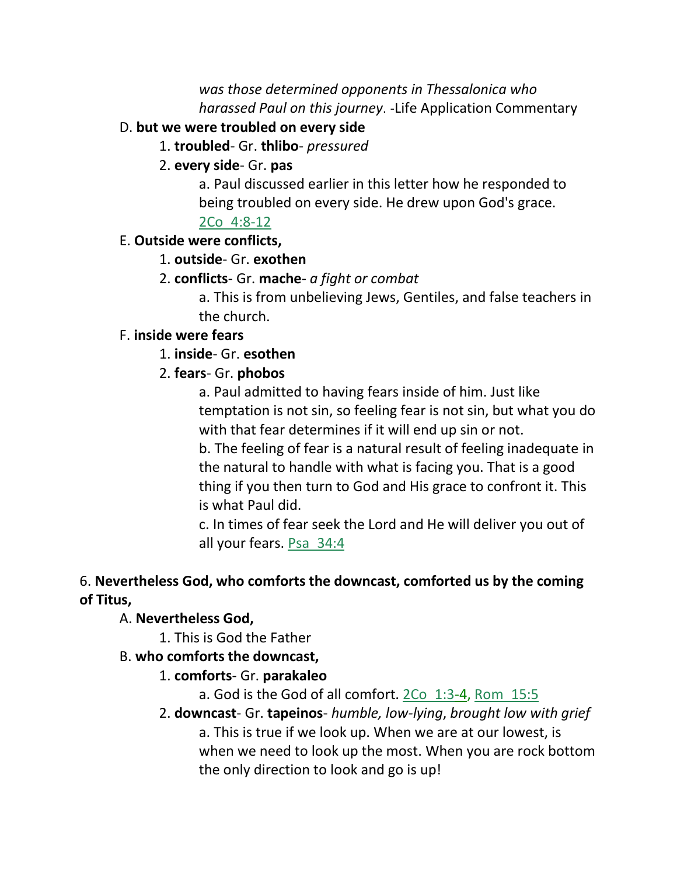*was those determined opponents in Thessalonica who harassed Paul on this journey*. -Life Application Commentary

#### D. **but we were troubled on every side**

1. **troubled**- Gr. **thlibo**- *pressured*

#### 2. **every side**- Gr. **pas**

a. Paul discussed earlier in this letter how he responded to being troubled on every side. He drew upon God's grace.

### 2Co\_4:8-12

#### E. **Outside were conflicts,**

#### 1. **outside**- Gr. **exothen**

2. **conflicts**- Gr. **mache**- *a fight or combat*

a. This is from unbelieving Jews, Gentiles, and false teachers in the church.

#### F. **inside were fears**

#### 1. **inside**- Gr. **esothen**

#### 2. **fears**- Gr. **phobos**

a. Paul admitted to having fears inside of him. Just like temptation is not sin, so feeling fear is not sin, but what you do with that fear determines if it will end up sin or not.

b. The feeling of fear is a natural result of feeling inadequate in the natural to handle with what is facing you. That is a good thing if you then turn to God and His grace to confront it. This is what Paul did.

c. In times of fear seek the Lord and He will deliver you out of all your fears. Psa 34:4

# 6. **Nevertheless God, who comforts the downcast, comforted us by the coming of Titus,**

#### A. **Nevertheless God,**

1. This is God the Father

#### B. **who comforts the downcast,**

#### 1. **comforts**- Gr. **parakaleo**

a. God is the God of all comfort. 2Co\_1:3-4, Rom\_15:5

2. **downcast**- Gr. **tapeinos**- *humble, low-lying*, *brought low with grief* a. This is true if we look up. When we are at our lowest, is when we need to look up the most. When you are rock bottom the only direction to look and go is up!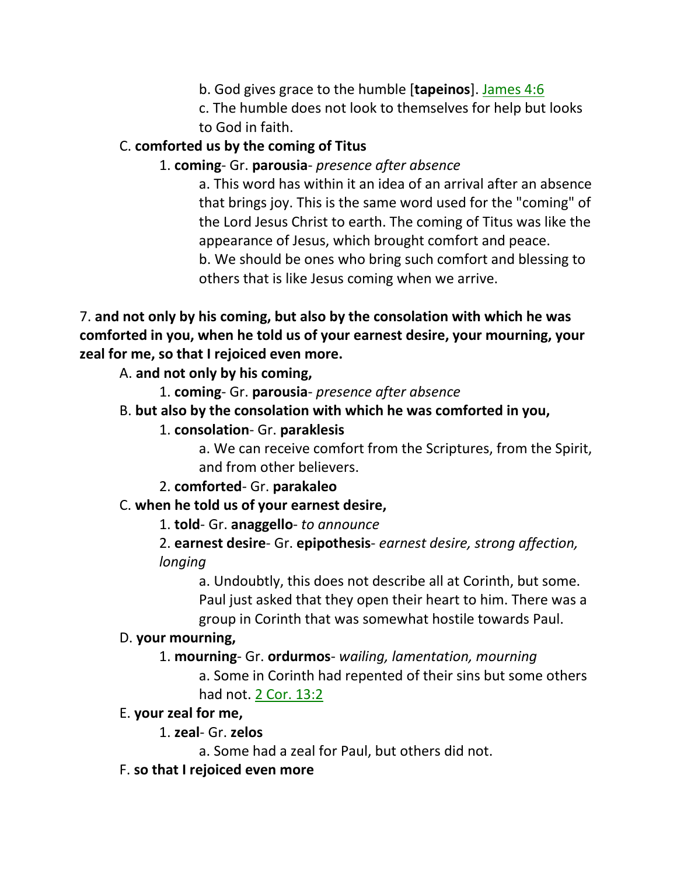b. God gives grace to the humble [**tapeinos**]. James 4:6

c. The humble does not look to themselves for help but looks to God in faith.

# C. **comforted us by the coming of Titus**

### 1. **coming**- Gr. **parousia**- *presence after absence*

a. This word has within it an idea of an arrival after an absence that brings joy. This is the same word used for the "coming" of the Lord Jesus Christ to earth. The coming of Titus was like the appearance of Jesus, which brought comfort and peace.

b. We should be ones who bring such comfort and blessing to others that is like Jesus coming when we arrive.

7. **and not only by his coming, but also by the consolation with which he was comforted in you, when he told us of your earnest desire, your mourning, your zeal for me, so that I rejoiced even more.**

A. **and not only by his coming,**

- 1. **coming** Gr. **parousia** *presence after absence*
- B. **but also by the consolation with which he was comforted in you,**
	- 1. **consolation** Gr. **paraklesis**

a. We can receive comfort from the Scriptures, from the Spirit, and from other believers.

2. **comforted**- Gr. **parakaleo**

C. **when he told us of your earnest desire,**

1. **told**- Gr. **anaggello**- *to announce*

2. **earnest desire**- Gr. **epipothesis**- *earnest desire, strong affection, longing*

a. Undoubtly, this does not describe all at Corinth, but some. Paul just asked that they open their heart to him. There was a group in Corinth that was somewhat hostile towards Paul.

#### D. **your mourning,**

1. **mourning**- Gr. **ordurmos**- *wailing, lamentation, mourning* a. Some in Corinth had repented of their sins but some others had not. 2 Cor. 13:2

#### E. **your zeal for me,**

1. **zeal**- Gr. **zelos**

a. Some had a zeal for Paul, but others did not.

F. **so that I rejoiced even more**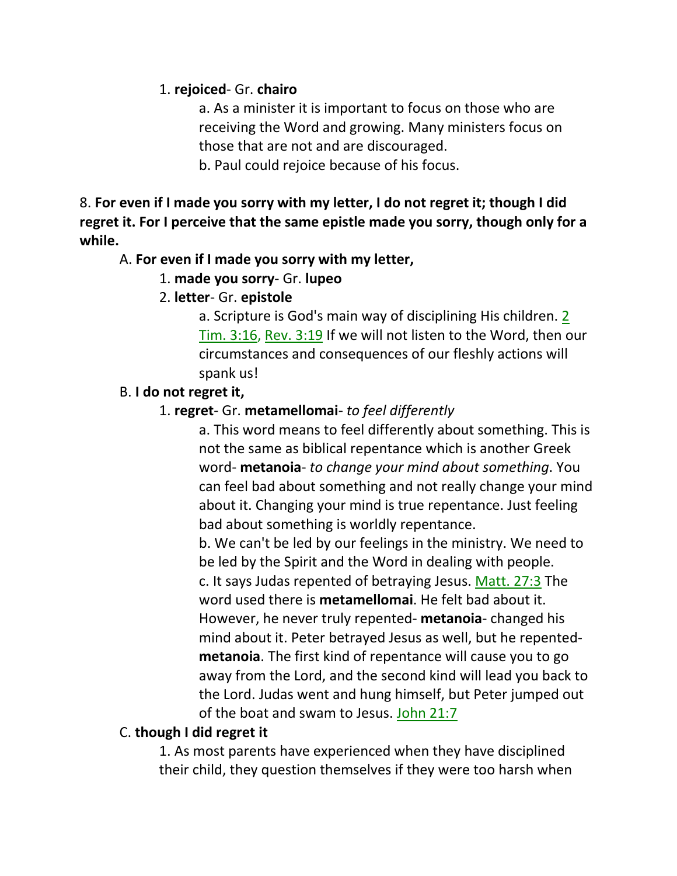#### 1. **rejoiced**- Gr. **chairo**

a. As a minister it is important to focus on those who are receiving the Word and growing. Many ministers focus on those that are not and are discouraged.

b. Paul could rejoice because of his focus.

8. **For even if I made you sorry with my letter, I do not regret it; though I did regret it. For I perceive that the same epistle made you sorry, though only for a while.**

#### A. **For even if I made you sorry with my letter,**

1. **made you sorry**- Gr. **lupeo**

# 2. **letter**- Gr. **epistole**

a. Scripture is God's main way of disciplining His children. 2 Tim. 3:16, Rev. 3:19 If we will not listen to the Word, then our circumstances and consequences of our fleshly actions will spank us!

# B. **I do not regret it,**

# 1. **regret**- Gr. **metamellomai**- *to feel differently*

a. This word means to feel differently about something. This is not the same as biblical repentance which is another Greek word- **metanoia**- *to change your mind about something*. You can feel bad about something and not really change your mind about it. Changing your mind is true repentance. Just feeling bad about something is worldly repentance.

b. We can't be led by our feelings in the ministry. We need to be led by the Spirit and the Word in dealing with people. c. It says Judas repented of betraying Jesus. Matt. 27:3 The word used there is **metamellomai**. He felt bad about it.

However, he never truly repented- **metanoia**- changed his mind about it. Peter betrayed Jesus as well, but he repented**metanoia**. The first kind of repentance will cause you to go away from the Lord, and the second kind will lead you back to the Lord. Judas went and hung himself, but Peter jumped out of the boat and swam to Jesus. John 21:7

# C. **though I did regret it**

1. As most parents have experienced when they have disciplined their child, they question themselves if they were too harsh when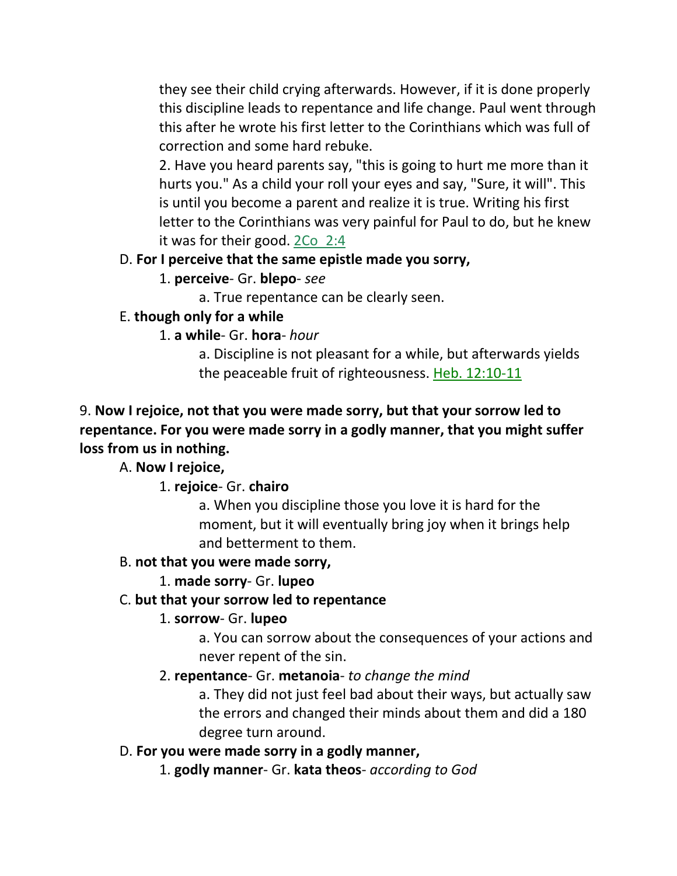they see their child crying afterwards. However, if it is done properly this discipline leads to repentance and life change. Paul went through this after he wrote his first letter to the Corinthians which was full of correction and some hard rebuke.

2. Have you heard parents say, "this is going to hurt me more than it hurts you." As a child your roll your eyes and say, "Sure, it will". This is until you become a parent and realize it is true. Writing his first letter to the Corinthians was very painful for Paul to do, but he knew it was for their good. 2Co\_2:4

# D. **For I perceive that the same epistle made you sorry,**

# 1. **perceive**- Gr. **blepo**- *see*

a. True repentance can be clearly seen.

# E. **though only for a while**

# 1. **a while**- Gr. **hora**- *hour*

a. Discipline is not pleasant for a while, but afterwards yields the peaceable fruit of righteousness. Heb. 12:10-11

# 9. **Now I rejoice, not that you were made sorry, but that your sorrow led to repentance. For you were made sorry in a godly manner, that you might suffer loss from us in nothing.**

# A. **Now I rejoice,**

# 1. **rejoice**- Gr. **chairo**

a. When you discipline those you love it is hard for the moment, but it will eventually bring joy when it brings help and betterment to them.

# B. **not that you were made sorry,**

# 1. **made sorry**- Gr. **lupeo**

# C. **but that your sorrow led to repentance**

# 1. **sorrow**- Gr. **lupeo**

a. You can sorrow about the consequences of your actions and never repent of the sin.

# 2. **repentance**- Gr. **metanoia**- *to change the mind*

a. They did not just feel bad about their ways, but actually saw the errors and changed their minds about them and did a 180 degree turn around.

# D. **For you were made sorry in a godly manner,**

1. **godly manner**- Gr. **kata theos**- *according to God*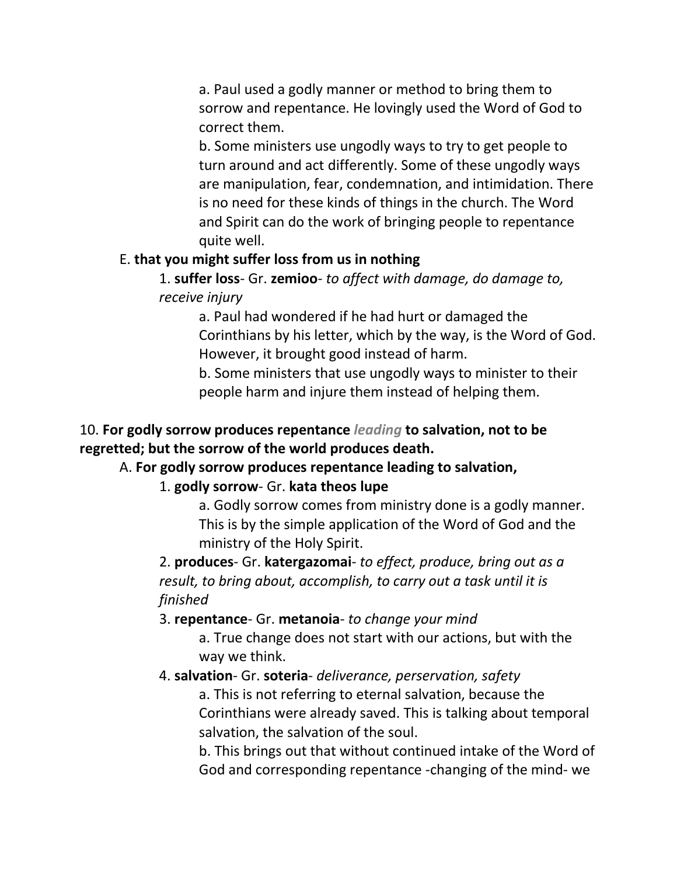a. Paul used a godly manner or method to bring them to sorrow and repentance. He lovingly used the Word of God to correct them.

b. Some ministers use ungodly ways to try to get people to turn around and act differently. Some of these ungodly ways are manipulation, fear, condemnation, and intimidation. There is no need for these kinds of things in the church. The Word and Spirit can do the work of bringing people to repentance quite well.

#### E. **that you might suffer loss from us in nothing**

1. **suffer loss**- Gr. **zemioo**- *to affect with damage, do damage to, receive injury*

a. Paul had wondered if he had hurt or damaged the Corinthians by his letter, which by the way, is the Word of God. However, it brought good instead of harm.

b. Some ministers that use ungodly ways to minister to their people harm and injure them instead of helping them.

### 10. **For godly sorrow produces repentance** *leading* **to salvation, not to be regretted; but the sorrow of the world produces death.**

# A. **For godly sorrow produces repentance leading to salvation,**

#### 1. **godly sorrow**- Gr. **kata theos lupe**

a. Godly sorrow comes from ministry done is a godly manner. This is by the simple application of the Word of God and the ministry of the Holy Spirit.

2. **produces**- Gr. **katergazomai**- *to effect, produce, bring out as a result, to bring about, accomplish, to carry out a task until it is finished*

3. **repentance**- Gr. **metanoia**- *to change your mind*

a. True change does not start with our actions, but with the way we think.

#### 4. **salvation**- Gr. **soteria**- *deliverance, perservation, safety*

a. This is not referring to eternal salvation, because the Corinthians were already saved. This is talking about temporal salvation, the salvation of the soul.

b. This brings out that without continued intake of the Word of God and corresponding repentance -changing of the mind- we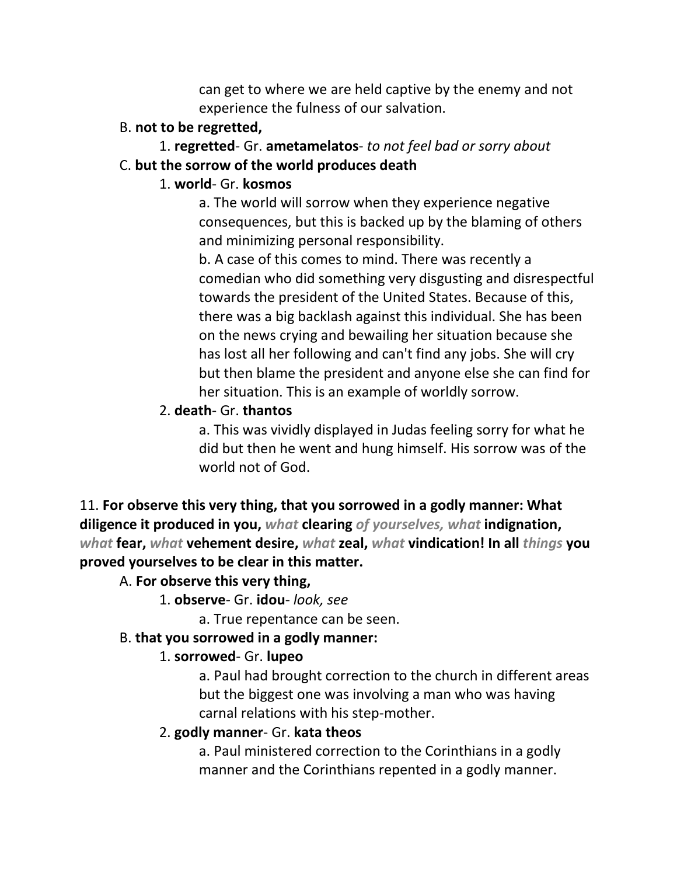can get to where we are held captive by the enemy and not experience the fulness of our salvation.

#### B. **not to be regretted,**

# 1. **regretted**- Gr. **ametamelatos**- *to not feel bad or sorry about*

#### C. **but the sorrow of the world produces death**

#### 1. **world**- Gr. **kosmos**

a. The world will sorrow when they experience negative consequences, but this is backed up by the blaming of others and minimizing personal responsibility.

b. A case of this comes to mind. There was recently a comedian who did something very disgusting and disrespectful towards the president of the United States. Because of this, there was a big backlash against this individual. She has been on the news crying and bewailing her situation because she has lost all her following and can't find any jobs. She will cry but then blame the president and anyone else she can find for her situation. This is an example of worldly sorrow.

# 2. **death**- Gr. **thantos**

a. This was vividly displayed in Judas feeling sorry for what he did but then he went and hung himself. His sorrow was of the world not of God.

11. **For observe this very thing, that you sorrowed in a godly manner: What diligence it produced in you,** *what* **clearing** *of yourselves, what* **indignation,**  *what* **fear,** *what* **vehement desire,** *what* **zeal,** *what* **vindication! In all** *things* **you proved yourselves to be clear in this matter.** 

# A. **For observe this very thing,**

1. **observe**- Gr. **idou**- *look, see*

a. True repentance can be seen.

# B. **that you sorrowed in a godly manner:**

# 1. **sorrowed**- Gr. **lupeo**

a. Paul had brought correction to the church in different areas but the biggest one was involving a man who was having carnal relations with his step-mother.

# 2. **godly manner**- Gr. **kata theos**

a. Paul ministered correction to the Corinthians in a godly manner and the Corinthians repented in a godly manner.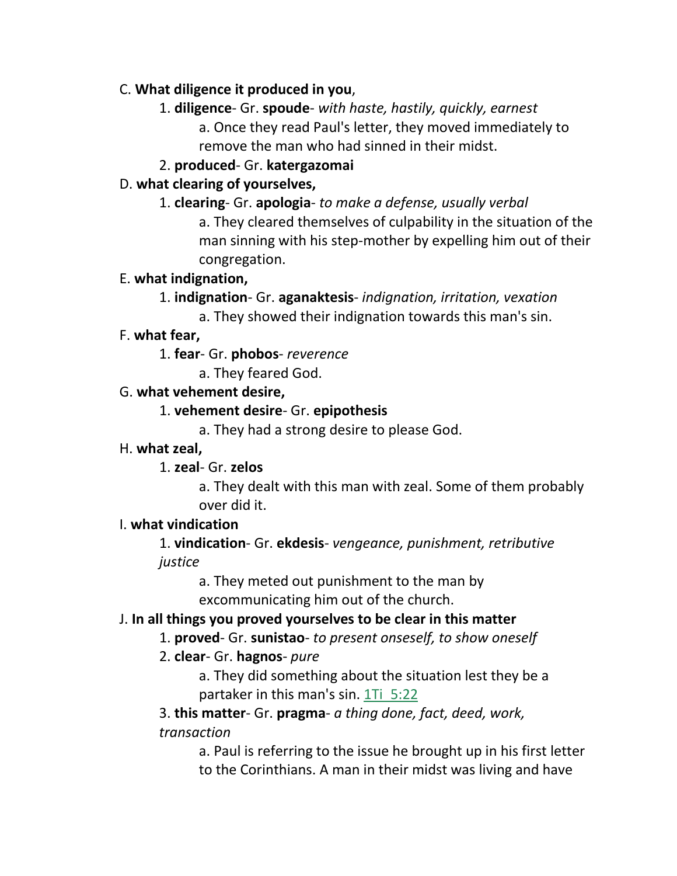# C. **What diligence it produced in you**,

1. **diligence**- Gr. **spoude**- *with haste, hastily, quickly, earnest*

a. Once they read Paul's letter, they moved immediately to remove the man who had sinned in their midst.

# 2. **produced**- Gr. **katergazomai**

# D. **what clearing of yourselves,**

1. **clearing**- Gr. **apologia**- *to make a defense, usually verbal*

a. They cleared themselves of culpability in the situation of the man sinning with his step-mother by expelling him out of their congregation.

# E. **what indignation,**

- 1. **indignation** Gr. **aganaktesis** *indignation, irritation, vexation*
	- a. They showed their indignation towards this man's sin.

# F. **what fear,**

- 1. **fear** Gr. **phobos** *reverence*
	- a. They feared God.

# G. **what vehement desire,**

# 1. **vehement desire**- Gr. **epipothesis**

a. They had a strong desire to please God.

# H. **what zeal,**

# 1. **zeal**- Gr. **zelos**

a. They dealt with this man with zeal. Some of them probably over did it.

# I. **what vindication**

1. **vindication**- Gr. **ekdesis**- *vengeance, punishment, retributive justice*

> a. They meted out punishment to the man by excommunicating him out of the church.

# J. **In all things you proved yourselves to be clear in this matter**

1. **proved**- Gr. **sunistao**- *to present onseself, to show oneself*

# 2. **clear**- Gr. **hagnos**- *pure*

a. They did something about the situation lest they be a partaker in this man's sin. 1Ti 5:22

3. **this matter**- Gr. **pragma**- *a thing done, fact, deed, work, transaction*

> a. Paul is referring to the issue he brought up in his first letter to the Corinthians. A man in their midst was living and have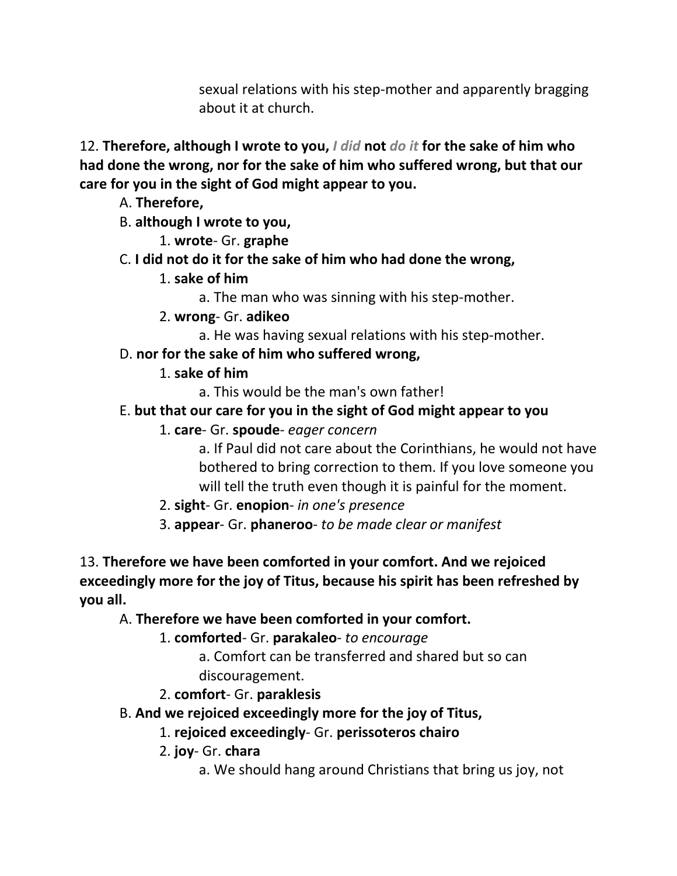sexual relations with his step-mother and apparently bragging about it at church.

12. **Therefore, although I wrote to you,** *I did* **not** *do it* **for the sake of him who had done the wrong, nor for the sake of him who suffered wrong, but that our care for you in the sight of God might appear to you.** 

- A. **Therefore,**
- B. **although I wrote to you,**
	- 1. **wrote** Gr. **graphe**
- C. **I did not do it for the sake of him who had done the wrong,**
	- 1. **sake of him**
		- a. The man who was sinning with his step-mother.
	- 2. **wrong** Gr. **adikeo**
		- a. He was having sexual relations with his step-mother.
- D. **nor for the sake of him who suffered wrong,**
	- 1. **sake of him**
		- a. This would be the man's own father!
- E. **but that our care for you in the sight of God might appear to you**
	- 1. **care** Gr. **spoude** *eager concern*
		- a. If Paul did not care about the Corinthians, he would not have bothered to bring correction to them. If you love someone you will tell the truth even though it is painful for the moment.
	- 2. **sight** Gr. **enopion** *in one's presence*
	- 3. **appear** Gr. **phaneroo** *to be made clear or manifest*
- 13. **Therefore we have been comforted in your comfort. And we rejoiced exceedingly more for the joy of Titus, because his spirit has been refreshed by you all.** 
	- A. **Therefore we have been comforted in your comfort.**
		- 1. **comforted** Gr. **parakaleo** *to encourage*
			- a. Comfort can be transferred and shared but so can discouragement.
		- 2. **comfort** Gr. **paraklesis**
	- B. **And we rejoiced exceedingly more for the joy of Titus,**
		- 1. **rejoiced exceedingly** Gr. **perissoteros chairo**
		- 2. **joy** Gr. **chara**
			- a. We should hang around Christians that bring us joy, not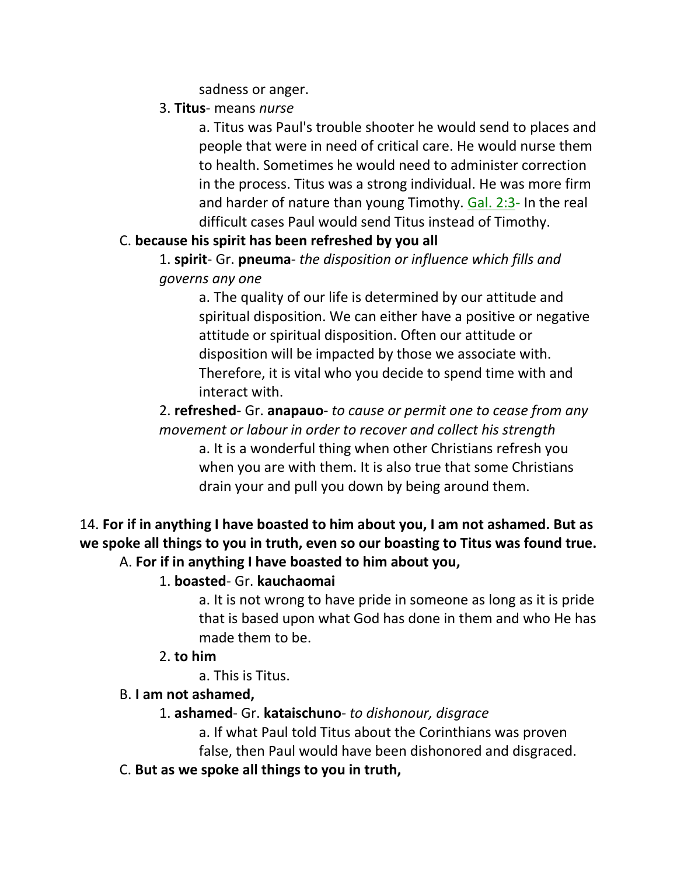sadness or anger.

3. **Titus**- means *nurse*

a. Titus was Paul's trouble shooter he would send to places and people that were in need of critical care. He would nurse them to health. Sometimes he would need to administer correction in the process. Titus was a strong individual. He was more firm and harder of nature than young Timothy. Gal. 2:3- In the real difficult cases Paul would send Titus instead of Timothy.

# C. **because his spirit has been refreshed by you all**

1. **spirit**- Gr. **pneuma**- *the disposition or influence which fills and governs any one*

a. The quality of our life is determined by our attitude and spiritual disposition. We can either have a positive or negative attitude or spiritual disposition. Often our attitude or disposition will be impacted by those we associate with. Therefore, it is vital who you decide to spend time with and interact with.

2. **refreshed**- Gr. **anapauo**- *to cause or permit one to cease from any movement or labour in order to recover and collect his strength*

a. It is a wonderful thing when other Christians refresh you when you are with them. It is also true that some Christians drain your and pull you down by being around them.

# 14. **For if in anything I have boasted to him about you, I am not ashamed. But as we spoke all things to you in truth, even so our boasting to Titus was found true.**  A. **For if in anything I have boasted to him about you,**

# 1. **boasted**- Gr. **kauchaomai**

a. It is not wrong to have pride in someone as long as it is pride that is based upon what God has done in them and who He has made them to be.

# 2. **to him**

a. This is Titus.

# B. **I am not ashamed,**

1. **ashamed**- Gr. **kataischuno**- *to dishonour, disgrace*

a. If what Paul told Titus about the Corinthians was proven

false, then Paul would have been dishonored and disgraced.

C. **But as we spoke all things to you in truth,**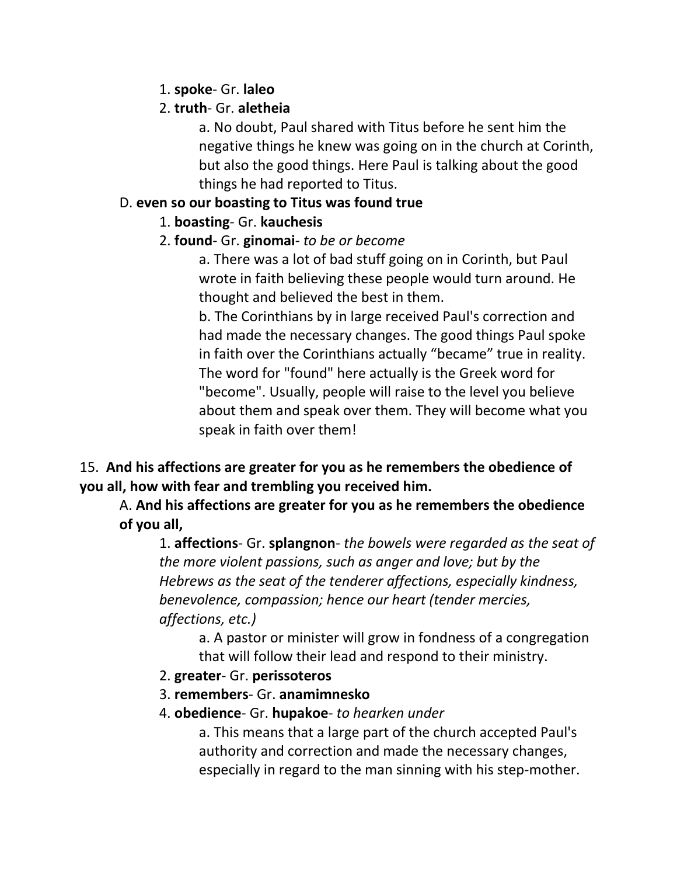1. **spoke**- Gr. **laleo**

# 2. **truth**- Gr. **aletheia**

a. No doubt, Paul shared with Titus before he sent him the negative things he knew was going on in the church at Corinth, but also the good things. Here Paul is talking about the good things he had reported to Titus.

# D. **even so our boasting to Titus was found true**

# 1. **boasting**- Gr. **kauchesis**

# 2. **found**- Gr. **ginomai**- *to be or become*

a. There was a lot of bad stuff going on in Corinth, but Paul wrote in faith believing these people would turn around. He thought and believed the best in them.

b. The Corinthians by in large received Paul's correction and had made the necessary changes. The good things Paul spoke in faith over the Corinthians actually "became" true in reality. The word for "found" here actually is the Greek word for "become". Usually, people will raise to the level you believe about them and speak over them. They will become what you speak in faith over them!

# 15. **And his affections are greater for you as he remembers the obedience of you all, how with fear and trembling you received him.**

A. **And his affections are greater for you as he remembers the obedience of you all,**

1. **affections**- Gr. **splangnon**- *the bowels were regarded as the seat of the more violent passions, such as anger and love; but by the Hebrews as the seat of the tenderer affections, especially kindness, benevolence, compassion; hence our heart (tender mercies, affections, etc.)*

a. A pastor or minister will grow in fondness of a congregation that will follow their lead and respond to their ministry.

- 2. **greater** Gr. **perissoteros**
- 3. **remembers** Gr. **anamimnesko**
- 4. **obedience** Gr. **hupakoe** *to hearken under*

a. This means that a large part of the church accepted Paul's authority and correction and made the necessary changes, especially in regard to the man sinning with his step-mother.